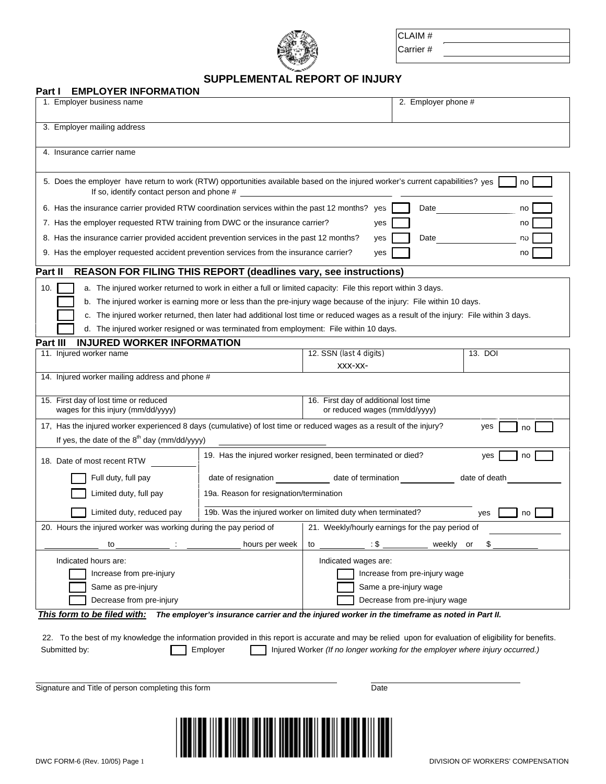

CLAIM #

Carrier #

## **SUPPLEMENTAL REPORT OF INJURY**

| <b>EMPLOYER INFORMATION</b><br>Part I                                                                                                                                              |                                                                            |                                                                        |                     |           |  |
|------------------------------------------------------------------------------------------------------------------------------------------------------------------------------------|----------------------------------------------------------------------------|------------------------------------------------------------------------|---------------------|-----------|--|
| 1. Employer business name                                                                                                                                                          |                                                                            |                                                                        | 2. Employer phone # |           |  |
| 3. Employer mailing address                                                                                                                                                        |                                                                            |                                                                        |                     |           |  |
| 4. Insurance carrier name                                                                                                                                                          |                                                                            |                                                                        |                     |           |  |
| 5. Does the employer have return to work (RTW) opportunities available based on the injured worker's current capabilities? yes<br>no<br>If so, identify contact person and phone # |                                                                            |                                                                        |                     |           |  |
| 6. Has the insurance carrier provided RTW coordination services within the past 12 months? yes<br>Date<br>no                                                                       |                                                                            |                                                                        |                     |           |  |
| 7. Has the employer requested RTW training from DWC or the insurance carrier?<br>no<br>yes                                                                                         |                                                                            |                                                                        |                     |           |  |
| 8. Has the insurance carrier provided accident prevention services in the past 12 months?<br>Date<br>no<br>yes                                                                     |                                                                            |                                                                        |                     |           |  |
| 9. Has the employer requested accident prevention services from the insurance carrier?<br>yes<br>no                                                                                |                                                                            |                                                                        |                     |           |  |
| <b>REASON FOR FILING THIS REPORT (deadlines vary, see instructions)</b><br>Part II                                                                                                 |                                                                            |                                                                        |                     |           |  |
| 10.<br>a. The injured worker returned to work in either a full or limited capacity: File this report within 3 days.                                                                |                                                                            |                                                                        |                     |           |  |
| b. The injured worker is earning more or less than the pre-injury wage because of the injury: File within 10 days.                                                                 |                                                                            |                                                                        |                     |           |  |
| c. The injured worker returned, then later had additional lost time or reduced wages as a result of the injury: File within 3 days.                                                |                                                                            |                                                                        |                     |           |  |
| d. The injured worker resigned or was terminated from employment: File within 10 days.                                                                                             |                                                                            |                                                                        |                     |           |  |
| <b>INJURED WORKER INFORMATION</b><br>Part III<br>11. Injured worker name                                                                                                           |                                                                            | 12. SSN (last 4 digits)                                                |                     | 13. DOI   |  |
|                                                                                                                                                                                    |                                                                            | XXX-XX-                                                                |                     |           |  |
| 14. Injured worker mailing address and phone #                                                                                                                                     |                                                                            |                                                                        |                     |           |  |
| 15. First day of lost time or reduced<br>wages for this injury (mm/dd/yyyy)                                                                                                        |                                                                            | 16. First day of additional lost time<br>or reduced wages (mm/dd/yyyy) |                     |           |  |
| 17, Has the injured worker experienced 8 days (cumulative) of lost time or reduced wages as a result of the injury?                                                                |                                                                            |                                                                        |                     | yes<br>no |  |
| If yes, the date of the $8^{th}$ day (mm/dd/yyyy)                                                                                                                                  |                                                                            |                                                                        |                     |           |  |
| 18. Date of most recent RTW                                                                                                                                                        | 19. Has the injured worker resigned, been terminated or died?<br>yes<br>no |                                                                        |                     |           |  |
| Full duty, full pay                                                                                                                                                                | date of resignation date of termination date of death                      |                                                                        |                     |           |  |
| Limited duty, full pay                                                                                                                                                             | 19a. Reason for resignation/termination                                    |                                                                        |                     |           |  |
| Limited duty, reduced pay                                                                                                                                                          | 19b. Was the injured worker on limited duty when terminated?<br>yes<br>no  |                                                                        |                     |           |  |
| 20. Hours the injured worker was working during the pay period of                                                                                                                  | 21. Weekly/hourly earnings for the pay period of                           |                                                                        |                     |           |  |
| to                                                                                                                                                                                 | hours per week                                                             | :\$<br>to                                                              | weekly              | S<br>or   |  |
| Indicated hours are:                                                                                                                                                               | Indicated wages are:                                                       |                                                                        |                     |           |  |
| Increase from pre-injury                                                                                                                                                           |                                                                            | Increase from pre-injury wage                                          |                     |           |  |
| Same as pre-injury                                                                                                                                                                 |                                                                            | Same a pre-injury wage                                                 |                     |           |  |
| Decrease from pre-injury<br>Decrease from pre-injury wage                                                                                                                          |                                                                            |                                                                        |                     |           |  |
| This form to be filed with:<br>The employer's insurance carrier and the injured worker in the timeframe as noted in Part II.                                                       |                                                                            |                                                                        |                     |           |  |
| 22. To the best of my knowledge the information provided in this report is accurate and may be relied upon for evaluation of eligibility for benefits.                             |                                                                            |                                                                        |                     |           |  |
| Injured Worker (If no longer working for the employer where injury occurred.)<br>Submitted by:<br>Employer                                                                         |                                                                            |                                                                        |                     |           |  |
|                                                                                                                                                                                    |                                                                            |                                                                        |                     |           |  |
|                                                                                                                                                                                    |                                                                            |                                                                        |                     |           |  |
| Signature and Title of person completing this form<br>Date                                                                                                                         |                                                                            |                                                                        |                     |           |  |
|                                                                                                                                                                                    |                                                                            |                                                                        |                     |           |  |
|                                                                                                                                                                                    |                                                                            |                                                                        |                     |           |  |
|                                                                                                                                                                                    |                                                                            |                                                                        |                     |           |  |
|                                                                                                                                                                                    |                                                                            |                                                                        |                     |           |  |